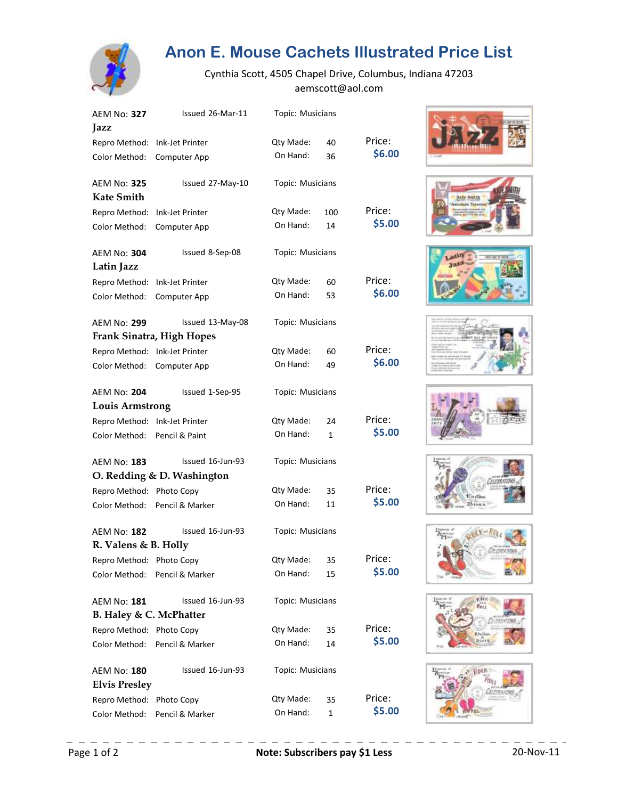

## **Anon E. Mouse Cachets Illustrated Price List**

Cynthia Scott, 4505 Chapel Drive, Columbus, Indiana 47203 aemscott@aol.com

| <b>AEM No: 327</b><br>Jazz                 | Issued 26-Mar-11           | Topic: Musicians        |             |        |
|--------------------------------------------|----------------------------|-------------------------|-------------|--------|
| Repro Method: Ink-Jet Printer              |                            | Qty Made:               | 40          | Price: |
| Color Method:                              | Computer App               | On Hand:                | 36          | \$6.00 |
| <b>AEM No: 325</b><br><b>Kate Smith</b>    | Issued 27-May-10           | Topic: Musicians        |             |        |
| Repro Method:                              | <b>Ink-Jet Printer</b>     | Qty Made:               | 100         | Price: |
| Color Method:                              | Computer App               | On Hand:                | 14          | \$5.00 |
| <b>AEM No: 304</b><br>Latin Jazz           | Issued 8-Sep-08            | Topic: Musicians        |             |        |
| Repro Method: Ink-Jet Printer              |                            | Qty Made:               | 60          | Price: |
| Color Method:                              | Computer App               | On Hand:                | 53          | \$6.00 |
| <b>AEM No: 299</b>                         | Issued 13-May-08           | Topic: Musicians        |             |        |
|                                            | Frank Sinatra, High Hopes  |                         |             |        |
| Repro Method:                              | Ink-Jet Printer            | Qty Made:               | 60          | Price: |
| Color Method:                              | Computer App               | On Hand:                | 49          | \$6.00 |
| <b>AEM No: 204</b>                         | Issued 1-Sep-95            | Topic: Musicians        |             |        |
| <b>Louis Armstrong</b>                     |                            |                         |             |        |
| Repro Method: Ink-Jet Printer              |                            | Qty Made:               | 24          | Price: |
| Color Method:                              | Pencil & Paint             | On Hand:                | 1           | \$5.00 |
| <b>AEM No: 183</b>                         | Issued 16-Jun-93           | Topic: Musicians        |             |        |
|                                            | O. Redding & D. Washington |                         |             |        |
| Repro Method: Photo Copy                   |                            | Qty Made:               | 35          | Price: |
| Color Method:                              | Pencil & Marker            | On Hand:                | 11          | \$5.00 |
| <b>AEM No: 182</b>                         | Issued 16-Jun-93           | <b>Topic: Musicians</b> |             |        |
| R. Valens & B. Holly                       |                            |                         |             |        |
| Repro Method: Photo Copy                   |                            | Qty Made:               | 35          | Price: |
| Color Method:                              | Pencil & Marker            | On Hand:                | 15          | \$5.00 |
| <b>AEM No: 181</b>                         | Issued 16-Jun-93           | Topic: Musicians        |             |        |
| B. Haley & C. McPhatter                    |                            |                         |             |        |
| Repro Method: Photo Copy                   |                            | Qty Made:               | 35          | Price: |
| Color Method:                              | Pencil & Marker            | On Hand:                | 14          | \$5.00 |
| <b>AEM No: 180</b><br><b>Elvis Presley</b> | Issued 16-Jun-93           | Topic: Musicians        |             |        |
| Repro Method:                              | Photo Copy                 | Qty Made:               | 35          | Price: |
| Color Method:                              | Pencil & Marker            | On Hand:                | $\mathbf 1$ | \$5.00 |